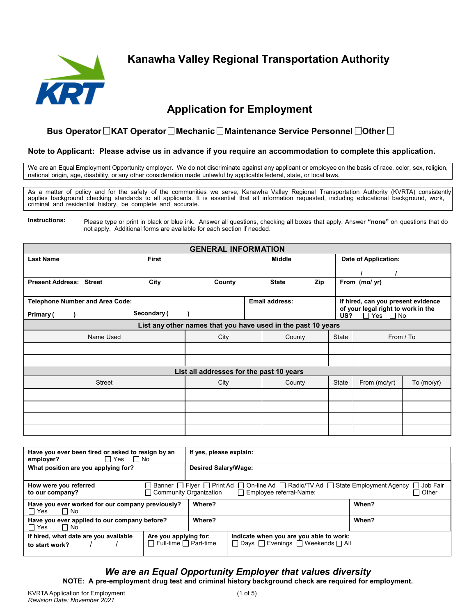

**Kanawha Valley Regional Transportation Authority**

# **Application for Employment**

## **Bus Operator OKAT Operator OMechanic OMaintenance Service Personnel Other** O

#### **Note to Applicant: Please advise us in advance if you require an accommodation to complete this application.**

We are an Equal Employment Opportunity employer. We do not discriminate against any applicant or employee on the basis of race, color, sex, religion, national origin, age, disability, or any other consideration made unlawful by applicable federal, state, or local laws.

As a matter of policy and for the safety of the communities we serve, Kanawha Valley Regional Transportation Authority (KVRTA) consistently applies background checking standards to all applicants. It is essential that all information requested, including educational background, work, criminal and residential history, be complete and accurate.

**Instructions:** Please type or print in black or blue ink. Answer all questions, checking all boxes that apply. Answer **"none"** on questions that do not apply. Additional forms are available for each section if needed.

| <b>GENERAL INFORMATION</b>             |               |              |                                                              |  |                       |     |              |                                                            |            |
|----------------------------------------|---------------|--------------|--------------------------------------------------------------|--|-----------------------|-----|--------------|------------------------------------------------------------|------------|
| <b>Last Name</b>                       |               | <b>First</b> |                                                              |  | <b>Middle</b>         |     |              | <b>Date of Application:</b>                                |            |
|                                        |               |              |                                                              |  |                       |     |              |                                                            |            |
| <b>Present Address: Street</b>         |               | City         | County                                                       |  | <b>State</b>          | Zip |              | From (mo/ yr)                                              |            |
| <b>Telephone Number and Area Code:</b> |               |              |                                                              |  | <b>Email address:</b> |     |              | If hired, can you present evidence                         |            |
| Primary (                              |               | Secondary (  |                                                              |  |                       |     | US?          | of your legal right to work in the<br>$\Box$ Yes $\Box$ No |            |
|                                        |               |              | List any other names that you have used in the past 10 years |  |                       |     |              |                                                            |            |
|                                        | Name Used     |              | City                                                         |  | County                |     | <b>State</b> | From / To                                                  |            |
|                                        |               |              |                                                              |  |                       |     |              |                                                            |            |
|                                        |               |              |                                                              |  |                       |     |              |                                                            |            |
|                                        |               |              | List all addresses for the past 10 years                     |  |                       |     |              |                                                            |            |
|                                        | <b>Street</b> |              | City                                                         |  | County                |     | <b>State</b> | From (mo/yr)                                               | To (mo/yr) |
|                                        |               |              |                                                              |  |                       |     |              |                                                            |            |
|                                        |               |              |                                                              |  |                       |     |              |                                                            |            |
|                                        |               |              |                                                              |  |                       |     |              |                                                            |            |
|                                        |               |              |                                                              |  |                       |     |              |                                                            |            |

| Have you ever been fired or asked to resign by an<br>∏ Yes<br>$\Box$ No<br>employer?                                                                                                                                                   |                                                            | If yes, please explain: |                                                                               |         |  |
|----------------------------------------------------------------------------------------------------------------------------------------------------------------------------------------------------------------------------------------|------------------------------------------------------------|-------------------------|-------------------------------------------------------------------------------|---------|--|
| What position are you applying for?                                                                                                                                                                                                    |                                                            | Desired Salary/Wage:    |                                                                               |         |  |
| Banner $\Box$ Fiver $\Box$ Print Ad $\Box$ On-line Ad $\Box$ Radio/TV Ad $\Box$ State Employment Agency $\Box$ Job Fair<br>How were you referred<br><b>Community Organization</b><br>$\Box$ Employee referral-Name:<br>to our company? |                                                            |                         |                                                                               | □ Other |  |
| Have you ever worked for our company previously?<br>$\Box$ Yes<br>$\Box$ No                                                                                                                                                            |                                                            | Where?                  |                                                                               | When?   |  |
| Have you ever applied to our company before?<br>$\Box$ Yes<br>$\Box$ No                                                                                                                                                                |                                                            | Where?                  |                                                                               | When?   |  |
| If hired, what date are you available<br>to start work?                                                                                                                                                                                | Are you applying for:<br>$\Box$ Full-time $\Box$ Part-time |                         | Indicate when you are you able to work:<br>□ Days □ Evenings □ Weekends □ All |         |  |

## *We are an Equal Opportunity Employer that values diversity*

**NOTE: A pre-employment drug test and criminal history background check are required for employment.**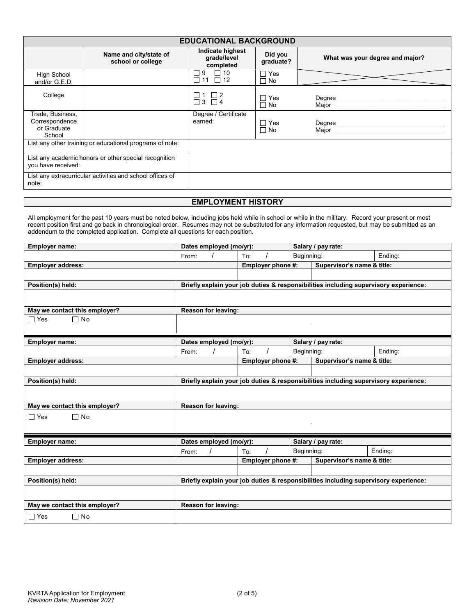|                                                             | <b>EDUCATIONAL BACKGROUND</b>                             |                                              |                           |                                 |  |  |  |
|-------------------------------------------------------------|-----------------------------------------------------------|----------------------------------------------|---------------------------|---------------------------------|--|--|--|
|                                                             | Name and city/state of<br>school or college               | Indicate highest<br>grade/level<br>completed | Did you<br>graduate?      | What was your degree and major? |  |  |  |
| <b>High School</b><br>and/or G.E.D.                         |                                                           | $\Box$ 10<br>9<br>$\Box$ 11 $\Box$ 12        | $\Box$ Yes<br>$\Box$ No   |                                 |  |  |  |
| College                                                     |                                                           | $\overline{\Box}$ 3 $\overline{\Box}$ 4      | $\Gamma$ Yes<br>$\Box$ No | Degree<br>Major                 |  |  |  |
| Trade, Business,<br>Correspondence<br>or Graduate<br>School |                                                           | Degree / Certificate<br>earned:              | $\Box$ Yes<br>$\Box$ No   | Degree<br>Major                 |  |  |  |
|                                                             | List any other training or educational programs of note:  |                                              |                           |                                 |  |  |  |
| you have received:                                          | List any academic honors or other special recognition     |                                              |                           |                                 |  |  |  |
| note:                                                       | List any extracurricular activities and school offices of |                                              |                           |                                 |  |  |  |

### **EMPLOYMENT HISTORY**

All employment for the past 10 years must be noted below, including jobs held while in school or while in the military. Record your present or most recent position first and go back in chronological order. Resumes may not be substituted for any information requested, but may be submitted as an addendum to the completed application. Complete all questions for each position.

| <b>Employer name:</b>         | Dates employed (mo/yr):                                                              |                   |                            | Salary / pay rate:                                                                   |         |  |
|-------------------------------|--------------------------------------------------------------------------------------|-------------------|----------------------------|--------------------------------------------------------------------------------------|---------|--|
|                               | From:                                                                                | To:               | Beginning:                 |                                                                                      | Ending: |  |
| <b>Employer address:</b>      |                                                                                      | Employer phone #: |                            | Supervisor's name & title:                                                           |         |  |
|                               |                                                                                      |                   |                            |                                                                                      |         |  |
| Position(s) held:             |                                                                                      |                   |                            | Briefly explain your job duties & responsibilities including supervisory experience: |         |  |
|                               |                                                                                      |                   |                            |                                                                                      |         |  |
| May we contact this employer? | Reason for leaving:                                                                  |                   |                            |                                                                                      |         |  |
| $\Box$ Yes<br>$\Box$ No       |                                                                                      |                   |                            |                                                                                      |         |  |
| Employer name:                | Dates employed (mo/yr):                                                              |                   |                            | Salary / pay rate:                                                                   |         |  |
|                               | From:                                                                                | To:               | Beginning:                 |                                                                                      | Ending: |  |
| <b>Employer address:</b>      |                                                                                      | Employer phone #: |                            | Supervisor's name & title:                                                           |         |  |
|                               |                                                                                      |                   |                            |                                                                                      |         |  |
| Position(s) held:             |                                                                                      |                   |                            | Briefly explain your job duties & responsibilities including supervisory experience: |         |  |
|                               |                                                                                      |                   |                            |                                                                                      |         |  |
| May we contact this employer? | Reason for leaving:                                                                  |                   |                            |                                                                                      |         |  |
| $\Box$ No<br>$\Box$ Yes       |                                                                                      |                   |                            |                                                                                      |         |  |
|                               |                                                                                      |                   |                            |                                                                                      |         |  |
| Employer name:                | Dates employed (mo/yr):                                                              |                   |                            | Salary / pay rate:                                                                   |         |  |
|                               | From:                                                                                | To:               | Beginning:                 |                                                                                      | Ending: |  |
| Employer address:             |                                                                                      | Employer phone #: | Supervisor's name & title: |                                                                                      |         |  |
|                               |                                                                                      |                   |                            |                                                                                      |         |  |
| Position(s) held:             | Briefly explain your job duties & responsibilities including supervisory experience: |                   |                            |                                                                                      |         |  |
|                               |                                                                                      |                   |                            |                                                                                      |         |  |
| May we contact this employer? | Reason for leaving:                                                                  |                   |                            |                                                                                      |         |  |
| $\Box$ No<br>$\Box$ Yes       |                                                                                      |                   |                            |                                                                                      |         |  |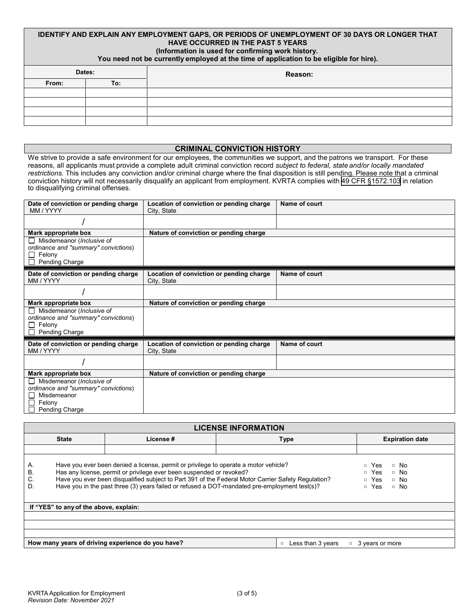#### **IDENTIFY AND EXPLAIN ANY EMPLOYMENT GAPS, OR PERIODS OF UNEMPLOYMENT OF 30 DAYS OR LONGER THAT HAVE OCCURRED IN THE PAST 5 YEARS (Information is used for confirming work history.**

**You need not be currently employed at the time of application to be eligible for hire).**

|        |     | ____    |
|--------|-----|---------|
| Dates: |     | Reason: |
| From:  | To: |         |
|        |     |         |
|        |     |         |
|        |     |         |
|        |     |         |
|        |     |         |

#### **CRIMINAL CONVICTION HISTORY**

We strive to provide a safe environment for our employees, the communities we support, and the patrons we transport. For these reasons, all applicants must provide a complete adult criminal conviction record *subject to federal, state and/or locally mandated restrictions.* This includes any conviction and/or criminal charge where the final disposition is still pending. Please note that a criminal conviction history will not necessarily disqualify an applicant from employment. KVRTA complies with 49 CFR §[1572.103](https://www.ecfr.gov/current/title-49/subtitle-B/chapter-XII/subchapter-D/part-1572/subpart-B/section-1572.103) in relation to disqualifying criminal offenses.

| Date of conviction or pending charge<br>MM / YYYY                                                                                | Location of conviction or pending charge<br>City, State | Name of court |
|----------------------------------------------------------------------------------------------------------------------------------|---------------------------------------------------------|---------------|
|                                                                                                                                  |                                                         |               |
| Mark appropriate box                                                                                                             | Nature of conviction or pending charge                  |               |
| $\Box$ Misdemeanor ( <i>Inclusive of</i><br>ordinance and "summary" convictions)<br>Felony<br>П<br>Pending Charge                |                                                         |               |
| Date of conviction or pending charge<br>MM / YYYY                                                                                | Location of conviction or pending charge<br>City, State | Name of court |
|                                                                                                                                  |                                                         |               |
| Mark appropriate box                                                                                                             | Nature of conviction or pending charge                  |               |
| $\Box$ Misdemeanor ( <i>Inclusive of</i><br>ordinance and "summary" convictions)<br>$\Box$ Felony<br>Pending Charge              |                                                         |               |
| Date of conviction or pending charge<br>MM / YYYY                                                                                | Location of conviction or pending charge<br>City, State | Name of court |
|                                                                                                                                  |                                                         |               |
| Mark appropriate box                                                                                                             | Nature of conviction or pending charge                  |               |
| $\Box$ Misdemeanor ( <i>Inclusive of</i><br>ordinance and "summary" convictions)<br>Misdemeanor<br>Felony<br>П<br>Pending Charge |                                                         |               |

| <b>LICENSE INFORMATION</b> |                                                                                                                                                                                                                                                                                                                                                                                                                                                                              |                        |  |  |  |  |
|----------------------------|------------------------------------------------------------------------------------------------------------------------------------------------------------------------------------------------------------------------------------------------------------------------------------------------------------------------------------------------------------------------------------------------------------------------------------------------------------------------------|------------------------|--|--|--|--|
|                            | <b>State</b>                                                                                                                                                                                                                                                                                                                                                                                                                                                                 | <b>Expiration date</b> |  |  |  |  |
|                            |                                                                                                                                                                                                                                                                                                                                                                                                                                                                              |                        |  |  |  |  |
| А.<br>В.<br>C.<br>D.       | Have you ever been denied a license, permit or privilege to operate a motor vehicle?<br>Yes<br>$\Box$<br>$\Box$ No<br>Has any license, permit or privilege ever been suspended or revoked?<br>Yes<br>$\Box$<br>$\Box$ No<br>Have you ever been disqualified subject to Part 391 of the Federal Motor Carrier Safety Regulation?<br>□ Yes<br>$\Box$ No<br>Have you in the past three (3) years failed or refused a DOT-mandated pre-employment test(s)?<br>□ Yes<br>$\Box$ No |                        |  |  |  |  |
|                            | If "YES" to any of the above, explain:                                                                                                                                                                                                                                                                                                                                                                                                                                       |                        |  |  |  |  |
|                            |                                                                                                                                                                                                                                                                                                                                                                                                                                                                              |                        |  |  |  |  |
|                            |                                                                                                                                                                                                                                                                                                                                                                                                                                                                              |                        |  |  |  |  |
|                            | How many years of driving experience do you have?<br>Less than 3 years<br>$\Box$<br>3 years or more                                                                                                                                                                                                                                                                                                                                                                          |                        |  |  |  |  |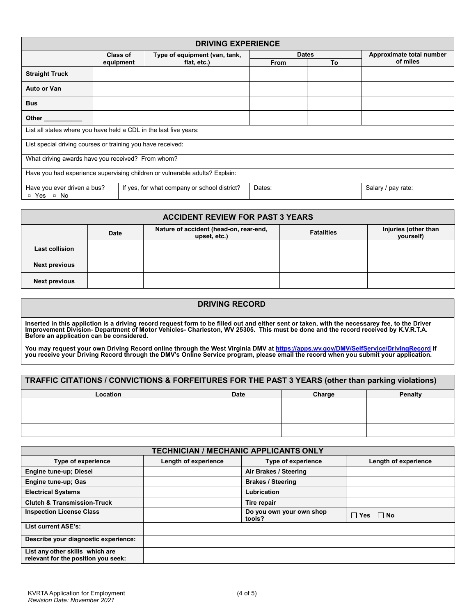| <b>DRIVING EXPERIENCE</b>                                                                                                                                                                                                          |           |                                              |              |    |                          |  |
|------------------------------------------------------------------------------------------------------------------------------------------------------------------------------------------------------------------------------------|-----------|----------------------------------------------|--------------|----|--------------------------|--|
|                                                                                                                                                                                                                                    | Class of  | Type of equipment (van, tank,                | <b>Dates</b> |    | Approximate total number |  |
|                                                                                                                                                                                                                                    | equipment | flat, etc.)                                  | <b>From</b>  | To | of miles                 |  |
| <b>Straight Truck</b>                                                                                                                                                                                                              |           |                                              |              |    |                          |  |
| Auto or Van                                                                                                                                                                                                                        |           |                                              |              |    |                          |  |
| <b>Bus</b>                                                                                                                                                                                                                         |           |                                              |              |    |                          |  |
| <b>Other Contract Contract Contract Contract Contract Contract Contract Contract Contract Contract Contract Contract Contract Contract Contract Contract Contract Contract Contract Contract Contract Contract Contract Contra</b> |           |                                              |              |    |                          |  |
| List all states where you have held a CDL in the last five years:                                                                                                                                                                  |           |                                              |              |    |                          |  |
| List special driving courses or training you have received:                                                                                                                                                                        |           |                                              |              |    |                          |  |
| What driving awards have you received? From whom?                                                                                                                                                                                  |           |                                              |              |    |                          |  |
| Have you had experience supervising children or vulnerable adults? Explain:                                                                                                                                                        |           |                                              |              |    |                          |  |
| Have you ever driven a bus?<br>No<br>□ Yes □                                                                                                                                                                                       |           | If yes, for what company or school district? | Dates:       |    | Salary / pay rate:       |  |

| <b>ACCIDENT REVIEW FOR PAST 3 YEARS</b> |             |                                                        |                   |                                   |  |  |
|-----------------------------------------|-------------|--------------------------------------------------------|-------------------|-----------------------------------|--|--|
|                                         | <b>Date</b> | Nature of accident (head-on, rear-end,<br>upset, etc.) | <b>Fatalities</b> | Injuries (other than<br>yourself) |  |  |
| Last collision                          |             |                                                        |                   |                                   |  |  |
| <b>Next previous</b>                    |             |                                                        |                   |                                   |  |  |
| <b>Next previous</b>                    |             |                                                        |                   |                                   |  |  |

| <b>DRIVING RECORD</b>                                                                                                                                                                                                                                                                                                         |
|-------------------------------------------------------------------------------------------------------------------------------------------------------------------------------------------------------------------------------------------------------------------------------------------------------------------------------|
| Inserted in this appliction is a driving record request form to be filled out and either sent or taken, with the necessarey fee, to the Driver<br>Improvement Division-Department of Motor Vehicles-Charleston, WV 25305. This must be done and the record received by K.V.R.T.A.<br>Before an application can be considered. |
| You may request your own Driving Record online through the West Virginia DMV at https://apps.wv.gov/DMV/SelfService/DrivingRecord If<br>you receive your Driving Record through the DMV's Online Service program, please email th                                                                                             |
| TRAFFIC CITATIONS I CONVICTIONS & FORFFITURES FOR THE RAST 2 VEARS (athou than no distance)                                                                                                                                                                                                                                   |

| TRAFFIC CITATIONS / CONVICTIONS & FORFEITURES FOR THE PAST 3 YEARS (other than parking violations) |             |        |                |  |  |  |
|----------------------------------------------------------------------------------------------------|-------------|--------|----------------|--|--|--|
| Location                                                                                           | <b>Date</b> | Charge | <b>Penalty</b> |  |  |  |
|                                                                                                    |             |        |                |  |  |  |
|                                                                                                    |             |        |                |  |  |  |
|                                                                                                    |             |        |                |  |  |  |

| <b>TECHNICIAN / MECHANIC APPLICANTS ONLY</b>                           |                      |                                    |                      |  |  |  |
|------------------------------------------------------------------------|----------------------|------------------------------------|----------------------|--|--|--|
| <b>Type of experience</b>                                              | Length of experience | <b>Type of experience</b>          | Length of experience |  |  |  |
| <b>Engine tune-up: Diesel</b>                                          |                      | Air Brakes / Steering              |                      |  |  |  |
| Engine tune-up; Gas                                                    |                      | <b>Brakes / Steering</b>           |                      |  |  |  |
| <b>Electrical Systems</b>                                              |                      | Lubrication                        |                      |  |  |  |
| <b>Clutch &amp; Transmission-Truck</b>                                 |                      | Tire repair                        |                      |  |  |  |
| <b>Inspection License Class</b>                                        |                      | Do you own your own shop<br>tools? | $\Box$ Yes $\Box$ No |  |  |  |
| <b>List current ASE's:</b>                                             |                      |                                    |                      |  |  |  |
| Describe your diagnostic experience:                                   |                      |                                    |                      |  |  |  |
| List any other skills which are<br>relevant for the position you seek: |                      |                                    |                      |  |  |  |